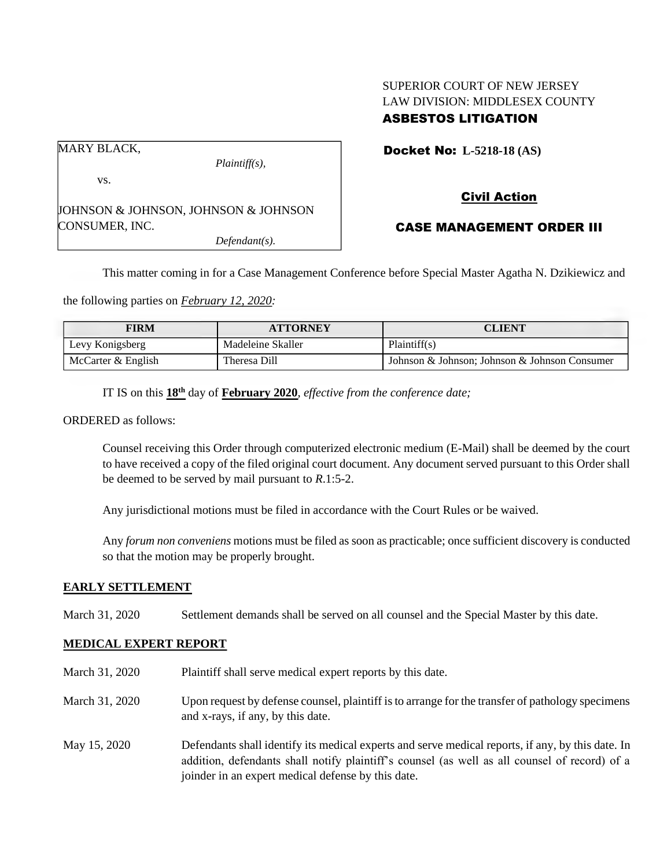### SUPERIOR COURT OF NEW JERSEY LAW DIVISION: MIDDLESEX COUNTY ASBESTOS LITIGATION

MARY BLACK,

vs.

CONSUMER, INC.

*Plaintiff(s),*

*Defendant(s).*

Docket No: **L-5218-18 (AS)** 

# JOHNSON & JOHNSON, JOHNSON & JOHNSON

## CASE MANAGEMENT ORDER III

Civil Action

This matter coming in for a Case Management Conference before Special Master Agatha N. Dzikiewicz and

the following parties on *February 12, 2020:*

| FIRM               | <b>ATTORNEY</b>   | CLIENT                                        |
|--------------------|-------------------|-----------------------------------------------|
| Levy Konigsberg    | Madeleine Skaller | Plaintiff(s)                                  |
| McCarter & English | Theresa Dill      | Johnson & Johnson; Johnson & Johnson Consumer |

IT IS on this  $18<sup>th</sup>$  day of **February 2020**, *effective from the conference date*;

ORDERED as follows:

Counsel receiving this Order through computerized electronic medium (E-Mail) shall be deemed by the court to have received a copy of the filed original court document. Any document served pursuant to this Order shall be deemed to be served by mail pursuant to *R*.1:5-2.

Any jurisdictional motions must be filed in accordance with the Court Rules or be waived.

Any *forum non conveniens* motions must be filed as soon as practicable; once sufficient discovery is conducted so that the motion may be properly brought.

#### **EARLY SETTLEMENT**

March 31, 2020 Settlement demands shall be served on all counsel and the Special Master by this date.

#### **MEDICAL EXPERT REPORT**

March 31, 2020 Plaintiff shall serve medical expert reports by this date. March 31, 2020 Upon request by defense counsel, plaintiff is to arrange for the transfer of pathology specimens and x-rays, if any, by this date. May 15, 2020 Defendants shall identify its medical experts and serve medical reports, if any, by this date. In addition, defendants shall notify plaintiff's counsel (as well as all counsel of record) of a joinder in an expert medical defense by this date.